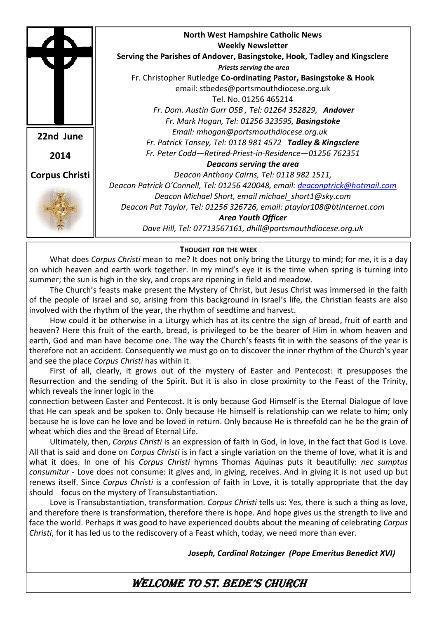

## **THOUGHT FOR THE WEEK**

 What does *Corpus Christi* mean to me? It does not only bring the Liturgy to mind; for me, it is a day on which heaven and earth work together. In my mind's eye it is the time when spring is turning into summer; the sun is high in the sky, and crops are ripening in field and meadow.

 The Church's feasts make present the Mystery of Christ, but Jesus Christ was immersed in the faith of the people of Israel and so, arising from this background in Israel's life, the Christian feasts are also involved with the rhythm of the year, the rhythm of seedtime and harvest.

 How could it be otherwise in a Liturgy which has at its centre the sign of bread, fruit of earth and heaven? Here this fruit of the earth, bread, is privileged to be the bearer of Him in whom heaven and earth, God and man have become one. The way the Church's feasts fit in with the seasons of the year is therefore not an accident. Consequently we must go on to discover the inner rhythm of the Church's year and see the place *Corpus Christi* has within it.

 First of all, clearly, it grows out of the mystery of Easter and Pentecost: it presupposes the Resurrection and the sending of the Spirit. But it is also in close proximity to the Feast of the Trinity, which reveals the inner logic in the

connection between Easter and Pentecost. It is only because God Himself is the Eternal Dialogue of love that He can speak and be spoken to. Only because He himself is relationship can we relate to him; only because he is love can he love and be loved in return. Only because He is threefold can he be the grain of wheat which dies and the Bread of Eternal Life.

 Ultimately, then, *Corpus Christi* is an expression of faith in God, in love, in the fact that God is Love. All that is said and done on *Corpus Christi* is in fact a single variation on the theme of love, what it is and what it does. In one of his *Corpus Christi* hymns Thomas Aquinas puts it beautifully: *nec sumptus consumitur* - Love does not consume: it gives and, in giving, receives. And in giving it is not used up but renews itself. Since *Corpus Christi* is a confession of faith in Love, it is totally appropriate that the day should focus on the mystery of Transubstantiation.

 Love is Transubstantiation, transformation. *Corpus Christi* tells us: Yes, there is such a thing as love, and therefore there is transformation, therefore there is hope. And hope gives us the strength to live and face the world. Perhaps it was good to have experienced doubts about the meaning of celebrating *Corpus Christi*, for it has led us to the rediscovery of a Feast which, today, we need more than ever.

 *Joseph, Cardinal Ratzinger (Pope Emeritus Benedict XVI)*

# WELCOME TO ST. BEDE'S CHURCH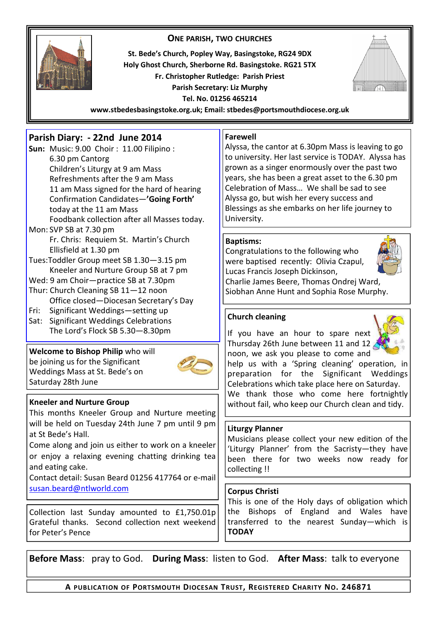## **ONE PARISH, TWO CHURCHES**



**St. Bede's Church, Popley Way, Basingstoke, RG24 9DX Holy Ghost Church, Sherborne Rd. Basingstoke. RG21 5TX Fr. Christopher Rutledge: Parish Priest Parish Secretary: Liz Murphy Tel. No. 01256 465214** 



**www.stbedesbasingstoke.org.uk; Email: stbedes@portsmouthdiocese.org.uk** 

## **Parish Diary: - 22nd June 2014**

**Sun:** Music: 9.00 Choir : 11.00 Filipino : 6.30 pm Cantorg Children's Liturgy at 9 am Mass Refreshments after the 9 am Mass 11 am Mass signed for the hard of hearing Confirmation Candidates—**'Going Forth'** today at the 11 am Mass Foodbank collection after all Masses today. Mon: SVP SB at 7.30 pm Fr. Chris: Requiem St. Martin's Church Ellisfield at 1.30 pm Tues:Toddler Group meet SB 1.30—3.15 pm Kneeler and Nurture Group SB at 7 pm Wed: 9 am Choir—practice SB at 7.30pm Thur: Church Cleaning SB 11—12 noon Office closed—Diocesan Secretary's Day Fri: Significant Weddings—setting up Sat: Significant Weddings Celebrations The Lord's Flock SB 5.30—8.30pm

## **Welcome to Bishop Philip** who will

be joining us for the Significant Weddings Mass at St. Bede's on Saturday 28th June



## **Kneeler and Nurture Group**

This months Kneeler Group and Nurture meeting will be held on Tuesday 24th June 7 pm until 9 pm at St Bede's Hall.

Come along and join us either to work on a kneeler or enjoy a relaxing evening chatting drinking tea and eating cake.

Contact detail: Susan Beard 01256 417764 or e-mail susan.beard@ntlworld.com

Collection last Sunday amounted to £1,750.01p Grateful thanks. Second collection next weekend for Peter's Pence

#### **Farewell**

Alyssa, the cantor at 6.30pm Mass is leaving to go to university. Her last service is TODAY. Alyssa has grown as a singer enormously over the past two years, she has been a great asset to the 6.30 pm Celebration of Mass… We shall be sad to see Alyssa go, but wish her every success and Blessings as she embarks on her life journey to University.

#### **Baptisms:**

Congratulations to the following who were baptised recently: Olivia Czapul, Lucas Francis Joseph Dickinson,



Charlie James Beere, Thomas Ondrej Ward, Siobhan Anne Hunt and Sophia Rose Murphy.

## **Church cleaning**

If you have an hour to spare next Thursday 26th June between 11 and 12 noon, we ask you please to come and



help us with a 'Spring cleaning' operation, in preparation for the Significant Weddings Celebrations which take place here on Saturday. We thank those who come here fortnightly without fail, who keep our Church clean and tidy.

#### **Liturgy Planner**

Musicians please collect your new edition of the 'Liturgy Planner' from the Sacristy—they have been there for two weeks now ready for collecting !!

## **Corpus Christi**

This is one of the Holy days of obligation which the Bishops of England and Wales have transferred to the nearest Sunday—which is **TODAY** 

**Before Mass**: pray to God. **During Mass**: listen to God. **After Mass**: talk to everyone

**A PUBLICATION OF PORTSMOUTH DIOCESAN TRUST, REGISTERED CHARITY NO. 246871**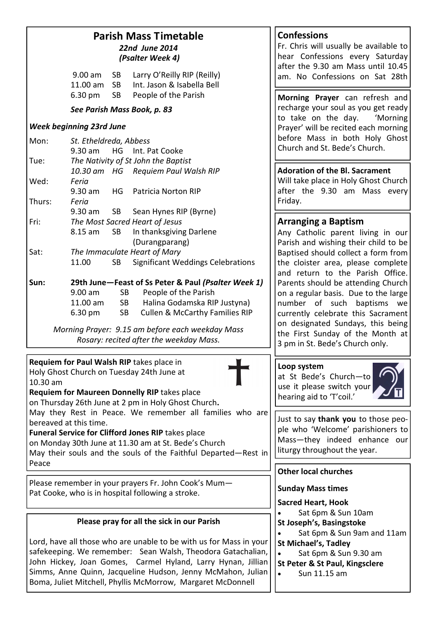| <b>Parish Mass Timetable</b><br>22nd June 2014<br>(Psalter Week 4)<br>9.00 a <sub>m</sub><br>Larry O'Reilly RIP (Reilly)<br><b>SB</b><br>11.00 am<br><b>SB</b><br>Int. Jason & Isabella Bell                                                                                                                                    |                                                                                                                                                                     |                              |                                                                                                                                                                                                                                                         | <b>Confessions</b><br>Fr. Chris will usually be available to<br>hear Confessions every Saturday<br>after the 9.30 am Mass until 10.45<br>am. No Confessions on Sat 28th                                                                                                                           |  |
|---------------------------------------------------------------------------------------------------------------------------------------------------------------------------------------------------------------------------------------------------------------------------------------------------------------------------------|---------------------------------------------------------------------------------------------------------------------------------------------------------------------|------------------------------|---------------------------------------------------------------------------------------------------------------------------------------------------------------------------------------------------------------------------------------------------------|---------------------------------------------------------------------------------------------------------------------------------------------------------------------------------------------------------------------------------------------------------------------------------------------------|--|
|                                                                                                                                                                                                                                                                                                                                 | 6.30 pm                                                                                                                                                             | <b>SB</b>                    | People of the Parish<br>See Parish Mass Book, p. 83                                                                                                                                                                                                     | Morning Prayer can refresh and<br>recharge your soul as you get ready                                                                                                                                                                                                                             |  |
| <b>Week beginning 23rd June</b>                                                                                                                                                                                                                                                                                                 |                                                                                                                                                                     |                              |                                                                                                                                                                                                                                                         | to take on the day.<br>'Morning<br>Prayer' will be recited each morning                                                                                                                                                                                                                           |  |
| Mon:<br>Tue:                                                                                                                                                                                                                                                                                                                    | before Mass in both Holy Ghost<br>St. Etheldreda, Abbess<br>Church and St. Bede's Church.<br>9.30 am<br>HG<br>Int. Pat Cooke<br>The Nativity of St John the Baptist |                              |                                                                                                                                                                                                                                                         |                                                                                                                                                                                                                                                                                                   |  |
| Wed:                                                                                                                                                                                                                                                                                                                            | Feria<br>$9.30$ am                                                                                                                                                  | HG                           | 10.30 am HG Requiem Paul Walsh RIP<br>Patricia Norton RIP                                                                                                                                                                                               | <b>Adoration of the Bl. Sacrament</b><br>Will take place in Holy Ghost Church<br>after the 9.30 am Mass every                                                                                                                                                                                     |  |
| Thurs:                                                                                                                                                                                                                                                                                                                          | Feria                                                                                                                                                               |                              |                                                                                                                                                                                                                                                         | Friday.                                                                                                                                                                                                                                                                                           |  |
| Fri:                                                                                                                                                                                                                                                                                                                            | 9.30 am<br>8.15 am                                                                                                                                                  | <b>SB</b><br><b>SB</b>       | Sean Hynes RIP (Byrne)<br>The Most Sacred Heart of Jesus<br>In thanksgiving Darlene                                                                                                                                                                     | <b>Arranging a Baptism</b><br>Any Catholic parent living in our                                                                                                                                                                                                                                   |  |
| Sat:                                                                                                                                                                                                                                                                                                                            | 11.00                                                                                                                                                               | <b>SB</b>                    | (Durangparang)<br>The Immaculate Heart of Mary<br><b>Significant Weddings Celebrations</b>                                                                                                                                                              | Parish and wishing their child to be<br>Baptised should collect a form from<br>the cloister area, please complete                                                                                                                                                                                 |  |
| Sun:                                                                                                                                                                                                                                                                                                                            | $9.00$ am<br>11.00 am<br>6.30 pm                                                                                                                                    | <b>SB</b><br>SB<br><b>SB</b> | 29th June-Feast of Ss Peter & Paul (Psalter Week 1)<br>People of the Parish<br>Halina Godamska RIP Justyna)<br><b>Cullen &amp; McCarthy Families RIP</b><br>Morning Prayer: 9.15 am before each weekday Mass<br>Rosary: recited after the weekday Mass. | and return to the Parish Office.<br>Parents should be attending Church<br>on a regular basis. Due to the large<br>number of such baptisms<br>we<br>currently celebrate this Sacrament<br>on designated Sundays, this being<br>the First Sunday of the Month at<br>3 pm in St. Bede's Church only. |  |
| Requiem for Paul Walsh RIP takes place in<br>Holy Ghost Church on Tuesday 24th June at<br>10.30 am<br>Requiem for Maureen Donnelly RIP takes place<br>on Thursday 26th June at 2 pm in Holy Ghost Church.                                                                                                                       |                                                                                                                                                                     |                              |                                                                                                                                                                                                                                                         | Loop system<br>at St Bede's Church-to<br>use it please switch your<br>hearing aid to 'T'coil.'                                                                                                                                                                                                    |  |
| May they Rest in Peace. We remember all families who are<br>bereaved at this time.<br>Funeral Service for Clifford Jones RIP takes place<br>on Monday 30th June at 11.30 am at St. Bede's Church<br>May their souls and the souls of the Faithful Departed-Rest in                                                              |                                                                                                                                                                     |                              |                                                                                                                                                                                                                                                         | Just to say thank you to those peo-<br>ple who 'Welcome' parishioners to<br>Mass-they indeed enhance our<br>liturgy throughout the year.                                                                                                                                                          |  |
| Peace                                                                                                                                                                                                                                                                                                                           |                                                                                                                                                                     |                              |                                                                                                                                                                                                                                                         | <b>Other local churches</b>                                                                                                                                                                                                                                                                       |  |
| Please remember in your prayers Fr. John Cook's Mum-<br>Pat Cooke, who is in hospital following a stroke.                                                                                                                                                                                                                       |                                                                                                                                                                     |                              |                                                                                                                                                                                                                                                         | <b>Sunday Mass times</b><br><b>Sacred Heart, Hook</b>                                                                                                                                                                                                                                             |  |
| Please pray for all the sick in our Parish                                                                                                                                                                                                                                                                                      |                                                                                                                                                                     |                              |                                                                                                                                                                                                                                                         | Sat 6pm & Sun 10am<br>St Joseph's, Basingstoke                                                                                                                                                                                                                                                    |  |
| Lord, have all those who are unable to be with us for Mass in your<br>safekeeping. We remember: Sean Walsh, Theodora Gatachalian,<br>John Hickey, Joan Gomes, Carmel Hyland, Larry Hynan, Jillian<br>Simms, Anne Quinn, Jacqueline Hudson, Jenny McMahon, Julian<br>Boma, Juliet Mitchell, Phyllis McMorrow, Margaret McDonnell |                                                                                                                                                                     |                              |                                                                                                                                                                                                                                                         | Sat 6pm & Sun 9am and 11am<br>St Michael's, Tadley<br>Sat 6pm & Sun 9.30 am<br>$\bullet$<br>St Peter & St Paul, Kingsclere<br>Sun 11.15 am                                                                                                                                                        |  |